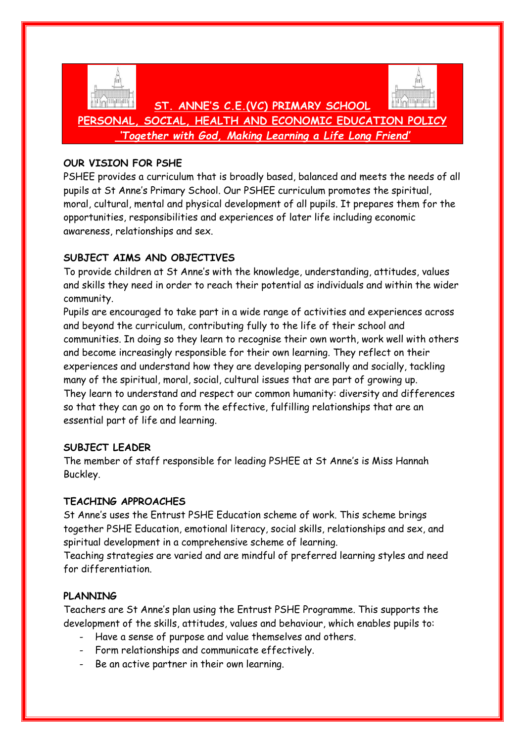

## **OUR VISION FOR PSHE**

PSHEE provides a curriculum that is broadly based, balanced and meets the needs of all pupils at St Anne's Primary School. Our PSHEE curriculum promotes the spiritual, moral, cultural, mental and physical development of all pupils. It prepares them for the opportunities, responsibilities and experiences of later life including economic awareness, relationships and sex.

## **SUBJECT AIMS AND OBJECTIVES**

To provide children at St Anne's with the knowledge, understanding, attitudes, values and skills they need in order to reach their potential as individuals and within the wider community.

Pupils are encouraged to take part in a wide range of activities and experiences across and beyond the curriculum, contributing fully to the life of their school and communities. In doing so they learn to recognise their own worth, work well with others and become increasingly responsible for their own learning. They reflect on their experiences and understand how they are developing personally and socially, tackling many of the spiritual, moral, social, cultural issues that are part of growing up. They learn to understand and respect our common humanity: diversity and differences so that they can go on to form the effective, fulfilling relationships that are an essential part of life and learning.

## **SUBJECT LEADER**

The member of staff responsible for leading PSHEE at St Anne's is Miss Hannah Buckley.

## **TEACHING APPROACHES**

St Anne's uses the Entrust PSHE Education scheme of work. This scheme brings together PSHE Education, emotional literacy, social skills, relationships and sex, and spiritual development in a comprehensive scheme of learning.

Teaching strategies are varied and are mindful of preferred learning styles and need for differentiation.

# **PLANNING**

Teachers are St Anne's plan using the Entrust PSHE Programme. This supports the development of the skills, attitudes, values and behaviour, which enables pupils to:

- Have a sense of purpose and value themselves and others.
- Form relationships and communicate effectively.
- Be an active partner in their own learning.